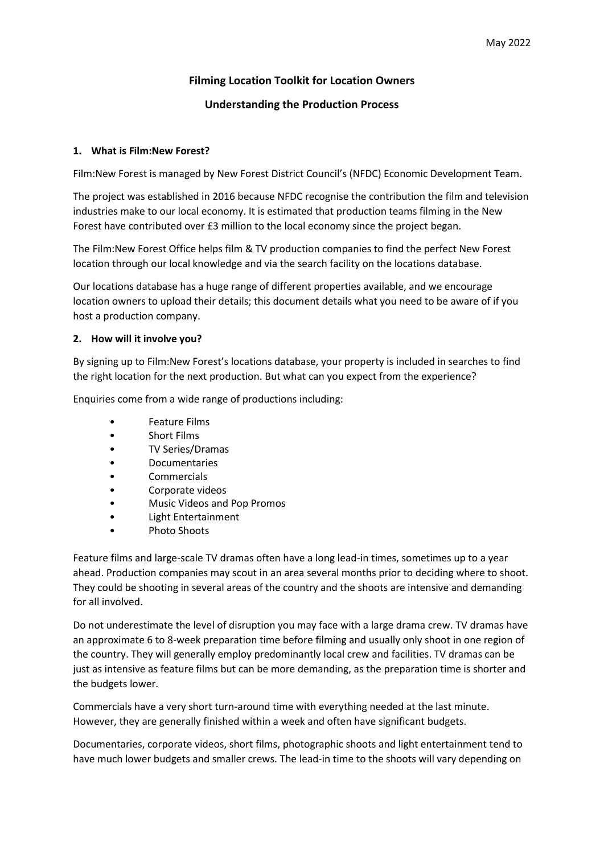# **Filming Location Toolkit for Location Owners**

# **Understanding the Production Process**

### **1. What is Film:New Forest?**

Film:New Forest is managed by New Forest District Council's (NFDC) Economic Development Team.

The project was established in 2016 because NFDC recognise the contribution the film and television industries make to our local economy. It is estimated that production teams filming in the New Forest have contributed over £3 million to the local economy since the project began.

The Film:New Forest Office helps film & TV production companies to find the perfect New Forest location through our local knowledge and via the search facility on the locations database.

Our locations database has a huge range of different properties available, and we encourage location owners to upload their details; this document details what you need to be aware of if you host a production company.

# **2. How will it involve you?**

By signing up to Film:New Forest's locations database, your property is included in searches to find the right location for the next production. But what can you expect from the experience?

Enquiries come from a wide range of productions including:

- Feature Films
- Short Films
- TV Series/Dramas
- Documentaries
- **Commercials**
- Corporate videos
- Music Videos and Pop Promos
- Light Entertainment
- Photo Shoots

Feature films and large-scale TV dramas often have a long lead-in times, sometimes up to a year ahead. Production companies may scout in an area several months prior to deciding where to shoot. They could be shooting in several areas of the country and the shoots are intensive and demanding for all involved.

Do not underestimate the level of disruption you may face with a large drama crew. TV dramas have an approximate 6 to 8-week preparation time before filming and usually only shoot in one region of the country. They will generally employ predominantly local crew and facilities. TV dramas can be just as intensive as feature films but can be more demanding, as the preparation time is shorter and the budgets lower.

Commercials have a very short turn-around time with everything needed at the last minute. However, they are generally finished within a week and often have significant budgets.

Documentaries, corporate videos, short films, photographic shoots and light entertainment tend to have much lower budgets and smaller crews. The lead-in time to the shoots will vary depending on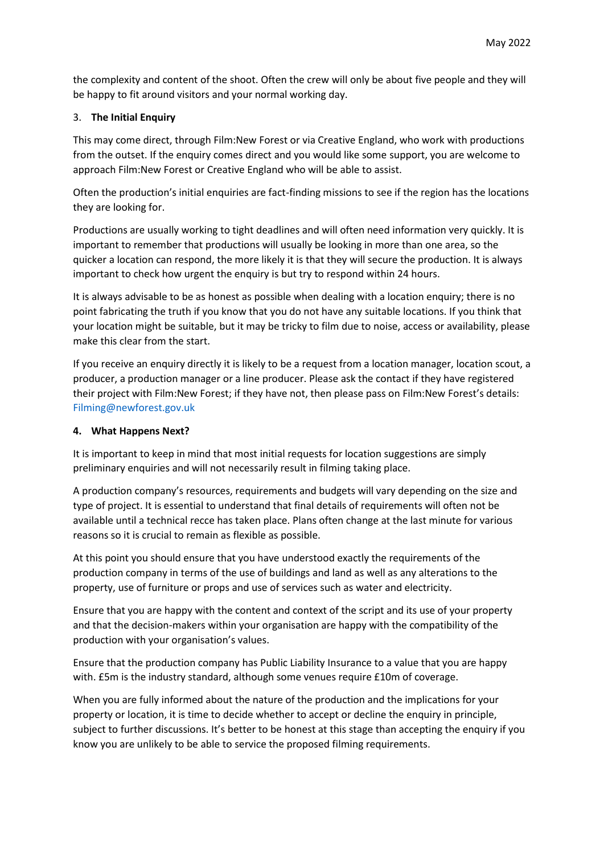the complexity and content of the shoot. Often the crew will only be about five people and they will be happy to fit around visitors and your normal working day.

### 3. **The Initial Enquiry**

This may come direct, through Film:New Forest or via Creative England, who work with productions from the outset. If the enquiry comes direct and you would like some support, you are welcome to approach Film:New Forest or Creative England who will be able to assist.

Often the production's initial enquiries are fact-finding missions to see if the region has the locations they are looking for.

Productions are usually working to tight deadlines and will often need information very quickly. It is important to remember that productions will usually be looking in more than one area, so the quicker a location can respond, the more likely it is that they will secure the production. It is always important to check how urgent the enquiry is but try to respond within 24 hours.

It is always advisable to be as honest as possible when dealing with a location enquiry; there is no point fabricating the truth if you know that you do not have any suitable locations. If you think that your location might be suitable, but it may be tricky to film due to noise, access or availability, please make this clear from the start.

If you receive an enquiry directly it is likely to be a request from a location manager, location scout, a producer, a production manager or a line producer. Please ask the contact if they have registered their project with Film:New Forest; if they have not, then please pass on Film:New Forest's details: [Filming@newforest.gov.uk](mailto:Filming@newforest.gov.uk)

### **4. What Happens Next?**

It is important to keep in mind that most initial requests for location suggestions are simply preliminary enquiries and will not necessarily result in filming taking place.

A production company's resources, requirements and budgets will vary depending on the size and type of project. It is essential to understand that final details of requirements will often not be available until a technical recce has taken place. Plans often change at the last minute for various reasons so it is crucial to remain as flexible as possible.

At this point you should ensure that you have understood exactly the requirements of the production company in terms of the use of buildings and land as well as any alterations to the property, use of furniture or props and use of services such as water and electricity.

Ensure that you are happy with the content and context of the script and its use of your property and that the decision-makers within your organisation are happy with the compatibility of the production with your organisation's values.

Ensure that the production company has Public Liability Insurance to a value that you are happy with. £5m is the industry standard, although some venues require £10m of coverage.

When you are fully informed about the nature of the production and the implications for your property or location, it is time to decide whether to accept or decline the enquiry in principle, subject to further discussions. It's better to be honest at this stage than accepting the enquiry if you know you are unlikely to be able to service the proposed filming requirements.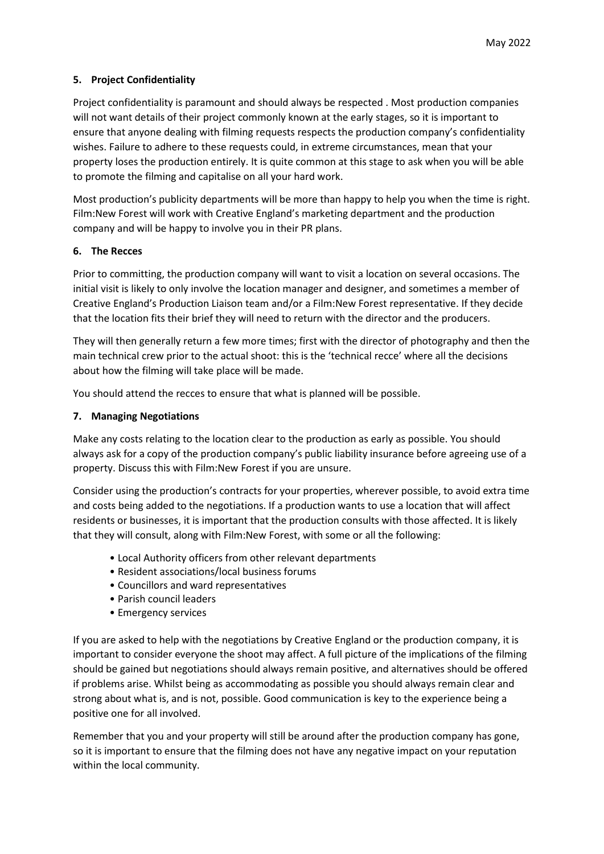# **5. Project Confidentiality**

Project confidentiality is paramount and should always be respected . Most production companies will not want details of their project commonly known at the early stages, so it is important to ensure that anyone dealing with filming requests respects the production company's confidentiality wishes. Failure to adhere to these requests could, in extreme circumstances, mean that your property loses the production entirely. It is quite common at this stage to ask when you will be able to promote the filming and capitalise on all your hard work.

Most production's publicity departments will be more than happy to help you when the time is right. Film:New Forest will work with Creative England's marketing department and the production company and will be happy to involve you in their PR plans.

#### **6. The Recces**

Prior to committing, the production company will want to visit a location on several occasions. The initial visit is likely to only involve the location manager and designer, and sometimes a member of Creative England's Production Liaison team and/or a Film:New Forest representative. If they decide that the location fits their brief they will need to return with the director and the producers.

They will then generally return a few more times; first with the director of photography and then the main technical crew prior to the actual shoot: this is the 'technical recce' where all the decisions about how the filming will take place will be made.

You should attend the recces to ensure that what is planned will be possible.

# **7. Managing Negotiations**

Make any costs relating to the location clear to the production as early as possible. You should always ask for a copy of the production company's public liability insurance before agreeing use of a property. Discuss this with Film:New Forest if you are unsure.

Consider using the production's contracts for your properties, wherever possible, to avoid extra time and costs being added to the negotiations. If a production wants to use a location that will affect residents or businesses, it is important that the production consults with those affected. It is likely that they will consult, along with Film:New Forest, with some or all the following:

- Local Authority officers from other relevant departments
- Resident associations/local business forums
- Councillors and ward representatives
- Parish council leaders
- Emergency services

If you are asked to help with the negotiations by Creative England or the production company, it is important to consider everyone the shoot may affect. A full picture of the implications of the filming should be gained but negotiations should always remain positive, and alternatives should be offered if problems arise. Whilst being as accommodating as possible you should always remain clear and strong about what is, and is not, possible. Good communication is key to the experience being a positive one for all involved.

Remember that you and your property will still be around after the production company has gone, so it is important to ensure that the filming does not have any negative impact on your reputation within the local community.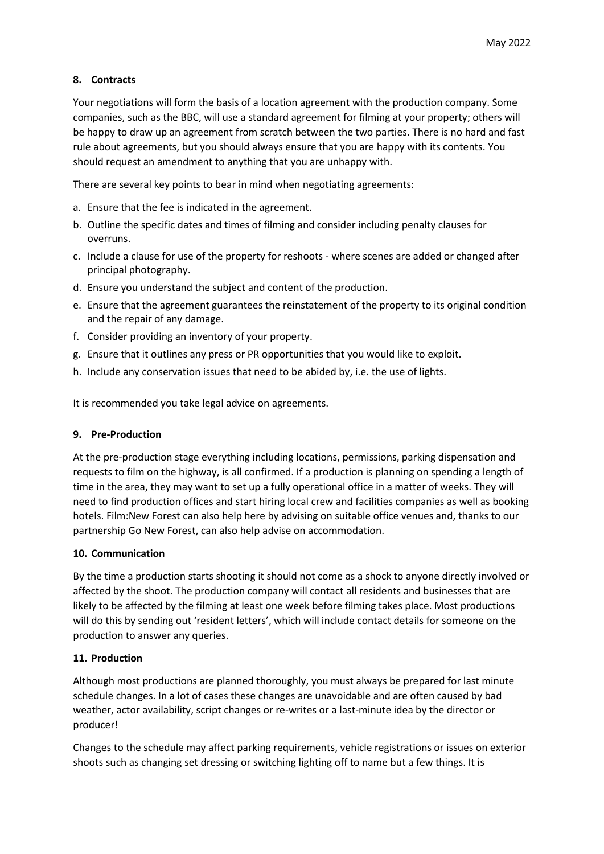# **8. Contracts**

Your negotiations will form the basis of a location agreement with the production company. Some companies, such as the BBC, will use a standard agreement for filming at your property; others will be happy to draw up an agreement from scratch between the two parties. There is no hard and fast rule about agreements, but you should always ensure that you are happy with its contents. You should request an amendment to anything that you are unhappy with.

There are several key points to bear in mind when negotiating agreements:

- a. Ensure that the fee is indicated in the agreement.
- b. Outline the specific dates and times of filming and consider including penalty clauses for overruns.
- c. Include a clause for use of the property for reshoots where scenes are added or changed after principal photography.
- d. Ensure you understand the subject and content of the production.
- e. Ensure that the agreement guarantees the reinstatement of the property to its original condition and the repair of any damage.
- f. Consider providing an inventory of your property.
- g. Ensure that it outlines any press or PR opportunities that you would like to exploit.
- h. Include any conservation issues that need to be abided by, i.e. the use of lights.

It is recommended you take legal advice on agreements.

#### **9. Pre-Production**

At the pre-production stage everything including locations, permissions, parking dispensation and requests to film on the highway, is all confirmed. If a production is planning on spending a length of time in the area, they may want to set up a fully operational office in a matter of weeks. They will need to find production offices and start hiring local crew and facilities companies as well as booking hotels. Film:New Forest can also help here by advising on suitable office venues and, thanks to our partnership Go New Forest, can also help advise on accommodation.

#### **10. Communication**

By the time a production starts shooting it should not come as a shock to anyone directly involved or affected by the shoot. The production company will contact all residents and businesses that are likely to be affected by the filming at least one week before filming takes place. Most productions will do this by sending out 'resident letters', which will include contact details for someone on the production to answer any queries.

#### **11. Production**

Although most productions are planned thoroughly, you must always be prepared for last minute schedule changes. In a lot of cases these changes are unavoidable and are often caused by bad weather, actor availability, script changes or re-writes or a last-minute idea by the director or producer!

Changes to the schedule may affect parking requirements, vehicle registrations or issues on exterior shoots such as changing set dressing or switching lighting off to name but a few things. It is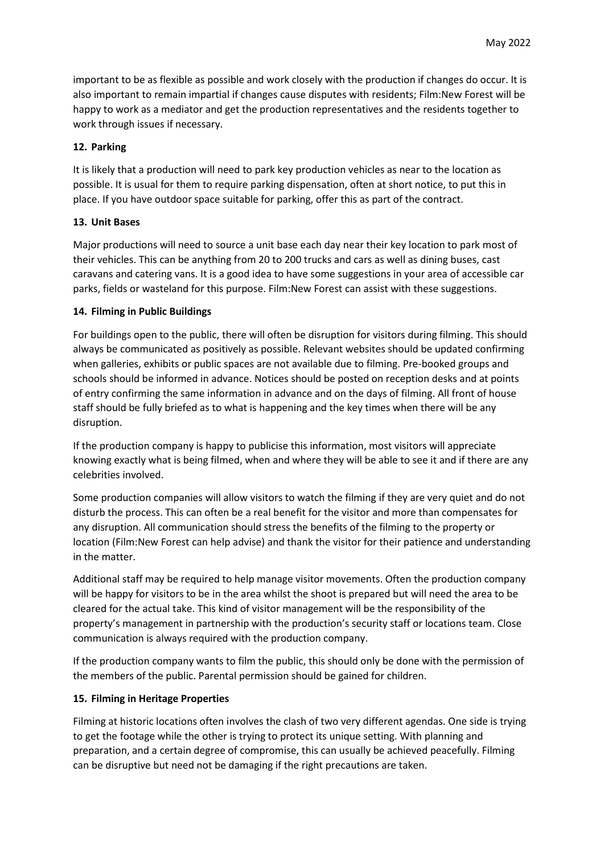important to be as flexible as possible and work closely with the production if changes do occur. It is also important to remain impartial if changes cause disputes with residents; Film:New Forest will be happy to work as a mediator and get the production representatives and the residents together to work through issues if necessary.

### **12. Parking**

It is likely that a production will need to park key production vehicles as near to the location as possible. It is usual for them to require parking dispensation, often at short notice, to put this in place. If you have outdoor space suitable for parking, offer this as part of the contract.

# **13. Unit Bases**

Major productions will need to source a unit base each day near their key location to park most of their vehicles. This can be anything from 20 to 200 trucks and cars as well as dining buses, cast caravans and catering vans. It is a good idea to have some suggestions in your area of accessible car parks, fields or wasteland for this purpose. Film:New Forest can assist with these suggestions.

# **14. Filming in Public Buildings**

For buildings open to the public, there will often be disruption for visitors during filming. This should always be communicated as positively as possible. Relevant websites should be updated confirming when galleries, exhibits or public spaces are not available due to filming. Pre-booked groups and schools should be informed in advance. Notices should be posted on reception desks and at points of entry confirming the same information in advance and on the days of filming. All front of house staff should be fully briefed as to what is happening and the key times when there will be any disruption.

If the production company is happy to publicise this information, most visitors will appreciate knowing exactly what is being filmed, when and where they will be able to see it and if there are any celebrities involved.

Some production companies will allow visitors to watch the filming if they are very quiet and do not disturb the process. This can often be a real benefit for the visitor and more than compensates for any disruption. All communication should stress the benefits of the filming to the property or location (Film:New Forest can help advise) and thank the visitor for their patience and understanding in the matter.

Additional staff may be required to help manage visitor movements. Often the production company will be happy for visitors to be in the area whilst the shoot is prepared but will need the area to be cleared for the actual take. This kind of visitor management will be the responsibility of the property's management in partnership with the production's security staff or locations team. Close communication is always required with the production company.

If the production company wants to film the public, this should only be done with the permission of the members of the public. Parental permission should be gained for children.

#### **15. Filming in Heritage Properties**

Filming at historic locations often involves the clash of two very different agendas. One side is trying to get the footage while the other is trying to protect its unique setting. With planning and preparation, and a certain degree of compromise, this can usually be achieved peacefully. Filming can be disruptive but need not be damaging if the right precautions are taken.